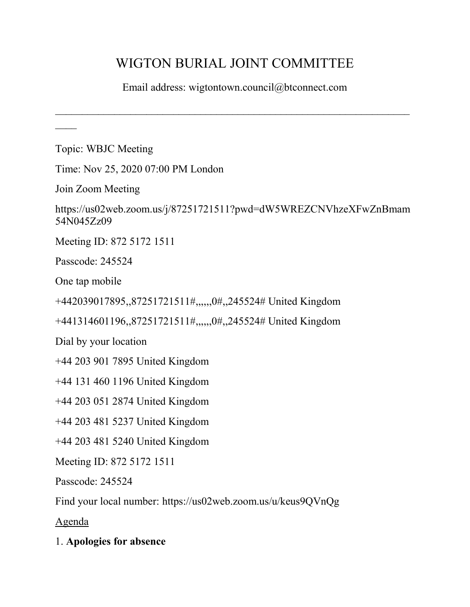# WIGTON BURIAL JOINT COMMITTEE

Email address: wigtontown.council@btconnect.com

 $\mathcal{L}_\mathcal{L} = \mathcal{L}_\mathcal{L} = \mathcal{L}_\mathcal{L} = \mathcal{L}_\mathcal{L} = \mathcal{L}_\mathcal{L} = \mathcal{L}_\mathcal{L} = \mathcal{L}_\mathcal{L} = \mathcal{L}_\mathcal{L} = \mathcal{L}_\mathcal{L} = \mathcal{L}_\mathcal{L} = \mathcal{L}_\mathcal{L} = \mathcal{L}_\mathcal{L} = \mathcal{L}_\mathcal{L} = \mathcal{L}_\mathcal{L} = \mathcal{L}_\mathcal{L} = \mathcal{L}_\mathcal{L} = \mathcal{L}_\mathcal{L}$ 

Topic: WBJC Meeting

Time: Nov 25, 2020 07:00 PM London

Join Zoom Meeting

[https://us02web.zoom.us/j/87251721511?pwd=dW5WREZCNVhzeXFwZnBmam](https://us02web.zoom.us/j/87251721511?pwd=dW5WREZCNVhzeXFwZnBmam54N045Zz09) [54N045Zz09](https://us02web.zoom.us/j/87251721511?pwd=dW5WREZCNVhzeXFwZnBmam54N045Zz09)

Meeting ID: 872 5172 1511

Passcode: 245524

One tap mobile

+442039017895,,87251721511#,,,,,,0#,,245524# United Kingdom

+441314601196,,87251721511#,,,,,,0#,,245524# United Kingdom

Dial by your location

+44 203 901 7895 United Kingdom

+44 131 460 1196 United Kingdom

+44 203 051 2874 United Kingdom

+44 203 481 5237 United Kingdom

+44 203 481 5240 United Kingdom

Meeting ID: 872 5172 1511

Passcode: 245524

Find your local number:<https://us02web.zoom.us/u/keus9QVnQg>

Agenda

1. **Apologies for absence**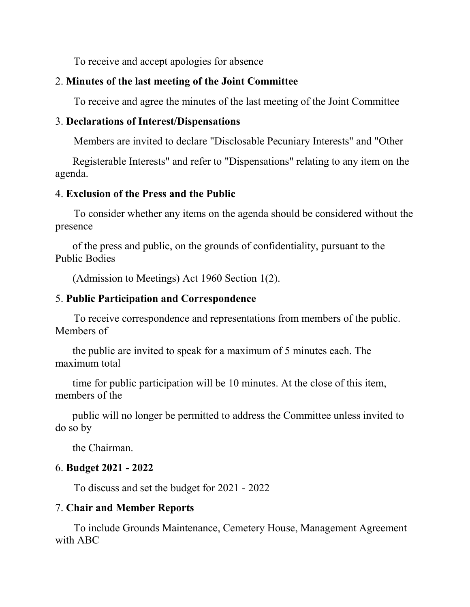To receive and accept apologies for absence

# 2. **Minutes of the last meeting of the Joint Committee**

To receive and agree the minutes of the last meeting of the Joint Committee

# 3. **Declarations of Interest/Dispensations**

Members are invited to declare "Disclosable Pecuniary Interests" and "Other

 Registerable Interests" and refer to "Dispensations" relating to any item on the agenda.

# 4. **Exclusion of the Press and the Public**

To consider whether any items on the agenda should be considered without the presence

 of the press and public, on the grounds of confidentiality, pursuant to the Public Bodies

(Admission to Meetings) Act 1960 Section 1(2).

#### 5. **Public Participation and Correspondence**

To receive correspondence and representations from members of the public. Members of

 the public are invited to speak for a maximum of 5 minutes each. The maximum total

 time for public participation will be 10 minutes. At the close of this item, members of the

 public will no longer be permitted to address the Committee unless invited to do so by

the Chairman.

#### 6. **Budget 2021 - 2022**

To discuss and set the budget for 2021 - 2022

#### 7. **Chair and Member Reports**

To include Grounds Maintenance, Cemetery House, Management Agreement with ABC